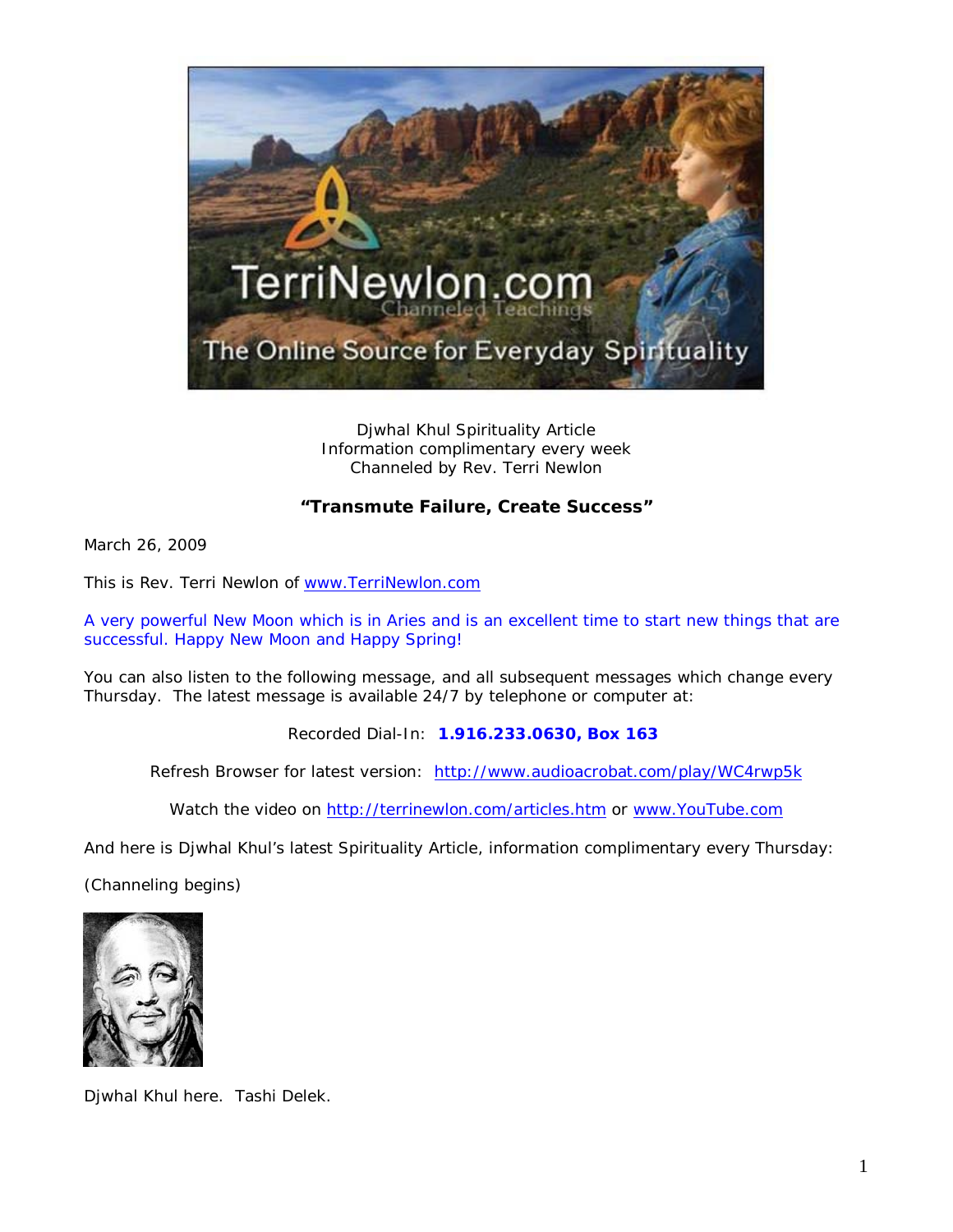

Djwhal Khul Spirituality Article Information complimentary every week Channeled by Rev. Terri Newlon

## **"Transmute Failure, Create Success"**

March 26, 2009

This is Rev. Terri Newlon of [www.TerriNewlon.com](http://www.terrinewlon.com/)

A very powerful New Moon which is in Aries and is an excellent time to start new things that are successful. Happy New Moon and Happy Spring!

You can also listen to the following message, and all subsequent messages which change every Thursday. The latest message is available 24/7 by telephone or computer at:

Recorded Dial-In: **1.916.233.0630, Box 163**

Refresh Browser for latest version: <http://www.audioacrobat.com/play/WC4rwp5k>

Watch the video on<http://terrinewlon.com/articles.htm> or [www.YouTube.com](http://www.youtube.com/)

And here is Djwhal Khul's latest Spirituality Article, information complimentary every Thursday:

(Channeling begins)



Djwhal Khul here. Tashi Delek.